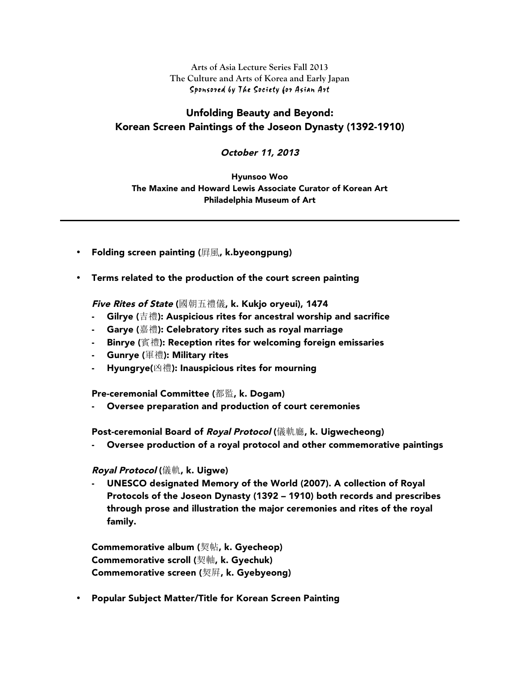**Arts of Asia Lecture Series Fall 2013 The Culture and Arts of Korea and Early Japan** Sponsored by The Society for Asian Art

## Unfolding Beauty and Beyond: Korean Screen Paintings of the Joseon Dynasty (1392-1910)

October 11, 2013

Hyunsoo Woo The Maxine and Howard Lewis Associate Curator of Korean Art Philadelphia Museum of Art

- Folding screen painting (屏風, k.byeongpung)
- Terms related to the production of the court screen painting

Five Rites of State (國朝五禮儀, k. Kukjo oryeui), 1474

- Gilrye (吉禮): Auspicious rites for ancestral worship and sacrifice
- Garye (嘉禮): Celebratory rites such as royal marriage
- Binrye (賓禮): Reception rites for welcoming foreign emissaries
- Gunrye (軍禮): Military rites
- Hyungrye(凶禮): Inauspicious rites for mourning

Pre-ceremonial Committee (都監, k. Dogam)

Oversee preparation and production of court ceremonies

Post-ceremonial Board of *Royal Protocol* (儀軌廳, k. Uigwecheong)

- Oversee production of a royal protocol and other commemorative paintings

## Royal Protocol (儀軌, k. Uigwe)

- UNESCO designated Memory of the World (2007). A collection of Royal Protocols of the Joseon Dynasty (1392 – 1910) both records and prescribes through prose and illustration the major ceremonies and rites of the royal family.

Commemorative album (契帖, k. Gyecheop) Commemorative scroll (契軸, k. Gyechuk) Commemorative screen (契屛, k. Gyebyeong)

• Popular Subject Matter/Title for Korean Screen Painting